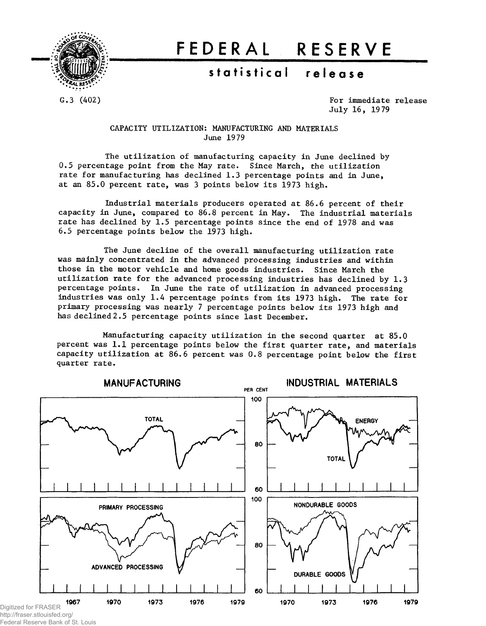

# **FEDERA L RESERV E**

## **statistica l releas e**

G.3 (402) C.3 (402) July 16, 1979

## CAPACITY UTILIZATION: MANUFACTURING AND MATERIALS June 1979

The utilization of manufacturing capacity in June declined by 0.5 percentage point from the May rate. Since March, the utilization rate for manufacturing has declined 1.3 percentage points and in June, at an 85.0 percent rate, was 3 points below its 1973 high.

Industrial materials producers operated at 86.6 percent of their capacity in June, compared to 86.8 percent in May. The industrial materials rate has declined by 1.5 percentage points since the end of 1978 and was 6.5 percentage points below the 1973 high.

The June decline of the overall manufacturing utilization rate was mainly concentrated in the advanced processing industries and within those in the motor vehicle and home goods industries. Since March the utilization rate for the advanced processing industries has declined by 1.3 percentage points. In June the rate of utilization in advanced processing industries was only 1.4 percentage points from its 1973 high. The rate for primary processing was nearly 7 percentage points below its 1973 high and has declined 2.5 percentage points since last December.

Manufacturing capacity utilization in the second quarter at 85.0 percent was 1.1 percentage points below the first quarter rate, and materials capacity utilization at 86.6 percent was 0.8 percentage point below the first quarter rate.



Federal Reserve Bank of St. Louis